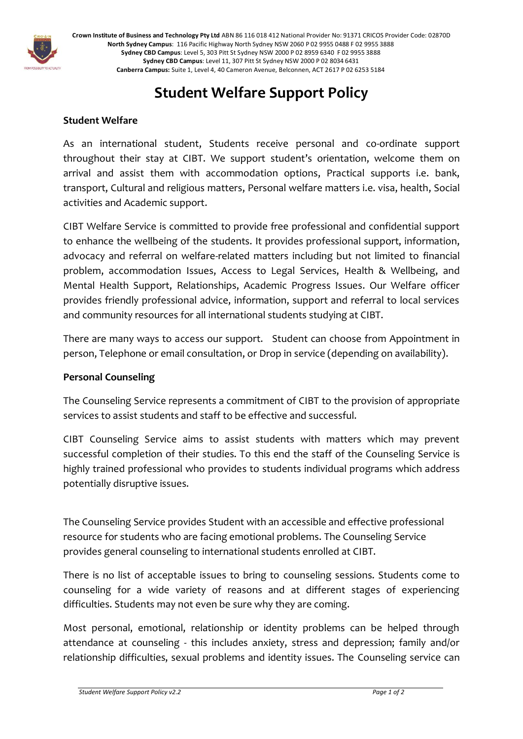

**Crown Institute of Business and Technology Pty Ltd** ABN 86 116 018 412 National Provider No: 91371 CRICOS Provider Code: 02870D **North Sydney Campus**: 116 Pacific Highway North Sydney NSW 2060 P 02 9955 0488 F 02 9955 3888 **Sydney CBD Campus**: Level 5, 303 Pitt St Sydney NSW 2000 P 02 8959 6340 F 02 9955 3888 **Sydney CBD Campus**: Level 11, 307 Pitt St Sydney NSW 2000 P 02 8034 6431 **Canberra Campus:** Suite 1, Level 4, 40 Cameron Avenue, Belconnen, ACT 2617 P 02 6253 5184

## **Student Welfare Support Policy**

## **Student Welfare**

As an international student, Students receive personal and co-ordinate support throughout their stay at CIBT. We support student's orientation, welcome them on arrival and assist them with accommodation options, Practical supports i.e. bank, transport, Cultural and religious matters, Personal welfare matters i.e. visa, health, Social activities and Academic support.

CIBT Welfare Service is committed to provide free professional and confidential support to enhance the wellbeing of the students. It provides professional support, information, advocacy and referral on welfare-related matters including but not limited to financial problem, accommodation Issues, Access to Legal Services, Health & Wellbeing, and Mental Health Support, Relationships, Academic Progress Issues. Our Welfare officer provides friendly professional advice, information, support and referral to local services and community resources for all international students studying at CIBT.

There are many ways to access our support. Student can choose from Appointment in person, Telephone or email consultation, or Drop in service (depending on availability).

## **Personal Counseling**

The Counseling Service represents a commitment of CIBT to the provision of appropriate services to assist students and staff to be effective and successful.

CIBT Counseling Service aims to assist students with matters which may prevent successful completion of their studies. To this end the staff of the Counseling Service is highly trained professional who provides to students individual programs which address potentially disruptive issues.

The Counseling Service provides Student with an accessible and effective professional resource for students who are facing emotional problems. The Counseling Service provides general counseling to international students enrolled at CIBT.

There is no list of acceptable issues to bring to counseling sessions. Students come to counseling for a wide variety of reasons and at different stages of experiencing difficulties. Students may not even be sure why they are coming.

Most personal, emotional, relationship or identity problems can be helped through attendance at counseling - this includes anxiety, stress and depression; family and/or relationship difficulties, sexual problems and identity issues. The Counseling service can